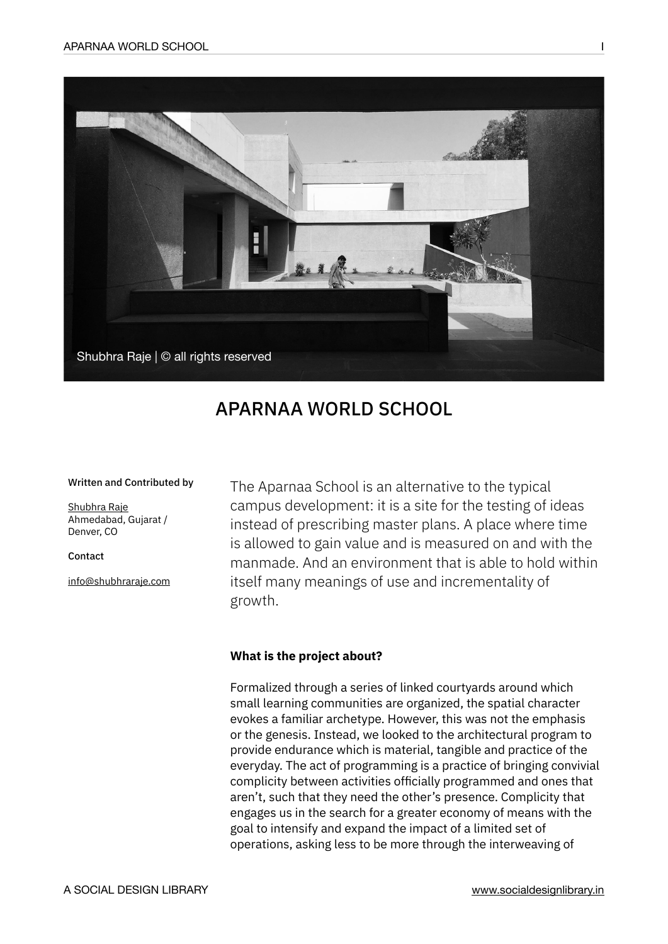

# APARNAA WORLD SCHOOL

#### Written and Contributed by

[Shubhra Raje](http://shubhraraje.com/) Ahmedabad, Gujarat / Denver, CO

Contact

[info@shubhraraje.com](mailto:info@shubhraraje.com)

The Aparnaa School is an alternative to the typical campus development: it is a site for the testing of ideas instead of prescribing master plans. A place where time is allowed to gain value and is measured on and with the manmade. And an environment that is able to hold within itself many meanings of use and incrementality of growth.

# **What is the project about?**

Formalized through a series of linked courtyards around which small learning communities are organized, the spatial character evokes a familiar archetype. However, this was not the emphasis or the genesis. Instead, we looked to the architectural program to provide endurance which is material, tangible and practice of the everyday. The act of programming is a practice of bringing convivial complicity between activities officially programmed and ones that aren't, such that they need the other's presence. Complicity that engages us in the search for a greater economy of means with the goal to intensify and expand the impact of a limited set of operations, asking less to be more through the interweaving of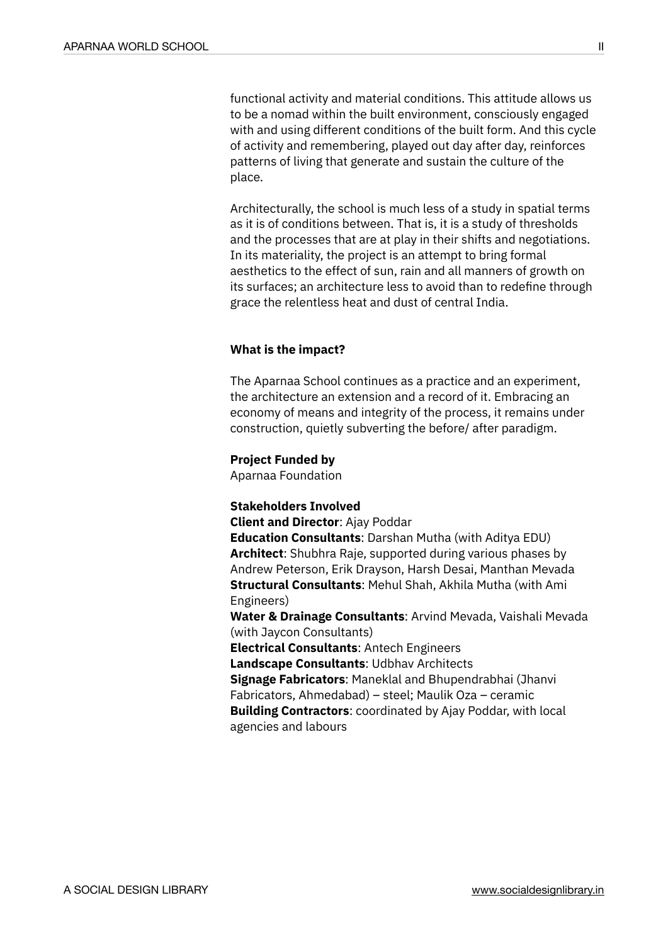functional activity and material conditions. This attitude allows us to be a nomad within the built environment, consciously engaged with and using different conditions of the built form. And this cycle of activity and remembering, played out day after day, reinforces patterns of living that generate and sustain the culture of the place.

Architecturally, the school is much less of a study in spatial terms as it is of conditions between. That is, it is a study of thresholds and the processes that are at play in their shifts and negotiations. In its materiality, the project is an attempt to bring formal aesthetics to the effect of sun, rain and all manners of growth on its surfaces; an architecture less to avoid than to redefine through grace the relentless heat and dust of central India.

## **What is the impact?**

The Aparnaa School continues as a practice and an experiment, the architecture an extension and a record of it. Embracing an economy of means and integrity of the process, it remains under construction, quietly subverting the before/ after paradigm.

#### **Project Funded by**

Aparnaa Foundation

### **Stakeholders Involved**

**Client and Director**: Ajay Poddar

**Education Consultants**: Darshan Mutha (with Aditya EDU) **Architect**: Shubhra Raje, supported during various phases by Andrew Peterson, Erik Drayson, Harsh Desai, Manthan Mevada **Structural Consultants**: Mehul Shah, Akhila Mutha (with Ami Engineers)

**Water & Drainage Consultants**: Arvind Mevada, Vaishali Mevada (with Jaycon Consultants)

**Electrical Consultants**: Antech Engineers

**Landscape Consultants**: Udbhav Architects

**Signage Fabricators**: Maneklal and Bhupendrabhai (Jhanvi Fabricators, Ahmedabad) – steel; Maulik Oza – ceramic **Building Contractors**: coordinated by Ajay Poddar, with local

agencies and labours